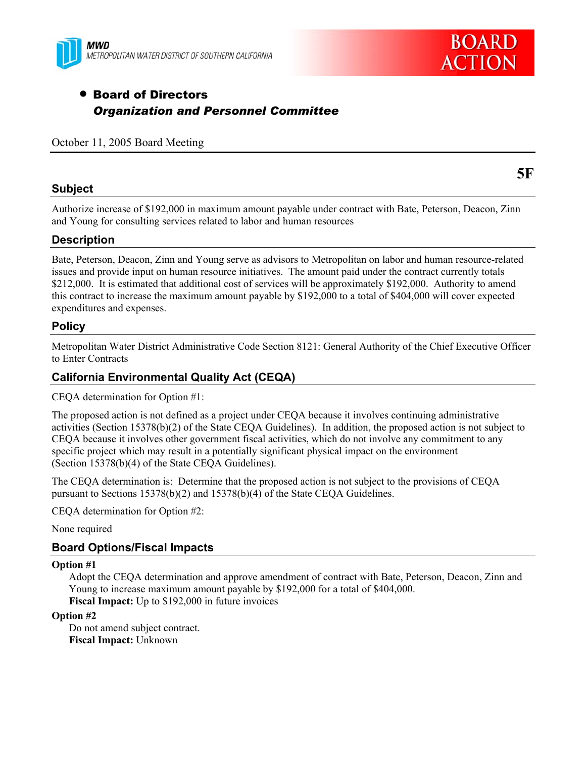



**5F** 

# • Board of Directors *Organization and Personnel Committee*

October 11, 2005 Board Meeting

#### **Subject**

Authorize increase of \$192,000 in maximum amount payable under contract with Bate, Peterson, Deacon, Zinn and Young for consulting services related to labor and human resources

#### **Description**

Bate, Peterson, Deacon, Zinn and Young serve as advisors to Metropolitan on labor and human resource-related issues and provide input on human resource initiatives. The amount paid under the contract currently totals \$212,000. It is estimated that additional cost of services will be approximately \$192,000. Authority to amend this contract to increase the maximum amount payable by \$192,000 to a total of \$404,000 will cover expected expenditures and expenses.

### **Policy**

Metropolitan Water District Administrative Code Section 8121: General Authority of the Chief Executive Officer to Enter Contracts

### **California Environmental Quality Act (CEQA)**

CEQA determination for Option #1:

The proposed action is not defined as a project under CEQA because it involves continuing administrative activities (Section 15378(b)(2) of the State CEQA Guidelines). In addition, the proposed action is not subject to CEQA because it involves other government fiscal activities, which do not involve any commitment to any specific project which may result in a potentially significant physical impact on the environment (Section 15378(b)(4) of the State CEQA Guidelines).

The CEQA determination is: Determine that the proposed action is not subject to the provisions of CEQA pursuant to Sections 15378(b)(2) and 15378(b)(4) of the State CEQA Guidelines.

CEQA determination for Option #2:

None required

#### **Board Options/Fiscal Impacts**

#### **Option #1**

Adopt the CEQA determination and approve amendment of contract with Bate, Peterson, Deacon, Zinn and Young to increase maximum amount payable by \$192,000 for a total of \$404,000. **Fiscal Impact:** Up to \$192,000 in future invoices

#### **Option #2**

Do not amend subject contract. **Fiscal Impact:** Unknown